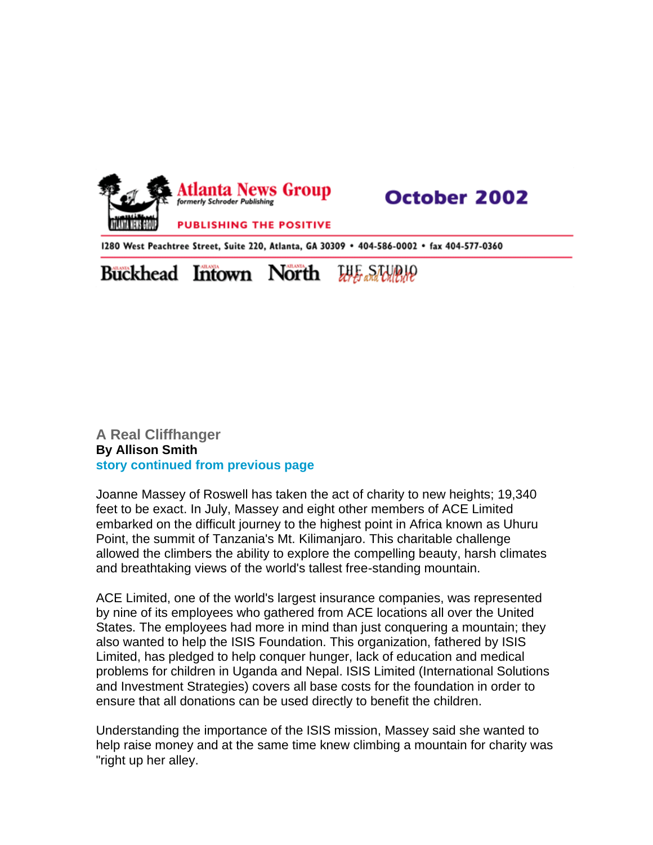

## **October 2002**

1280 West Peachtree Street, Suite 220, Atlanta, GA 30309 · 404-586-0002 · fax 404-577-0360

## **Buckhead Intown North** ecres and Cullula

## **A Real Cliffhanger By Allison Smith story continued from previous page**

Joanne Massey of Roswell has taken the act of charity to new heights; 19,340 feet to be exact. In July, Massey and eight other members of ACE Limited embarked on the difficult journey to the highest point in Africa known as Uhuru Point, the summit of Tanzania's Mt. Kilimanjaro. This charitable challenge allowed the climbers the ability to explore the compelling beauty, harsh climates and breathtaking views of the world's tallest free-standing mountain.

ACE Limited, one of the world's largest insurance companies, was represented by nine of its employees who gathered from ACE locations all over the United States. The employees had more in mind than just conquering a mountain; they also wanted to help the ISIS Foundation. This organization, fathered by ISIS Limited, has pledged to help conquer hunger, lack of education and medical problems for children in Uganda and Nepal. ISIS Limited (International Solutions and Investment Strategies) covers all base costs for the foundation in order to ensure that all donations can be used directly to benefit the children.

Understanding the importance of the ISIS mission, Massey said she wanted to help raise money and at the same time knew climbing a mountain for charity was "right up her alley.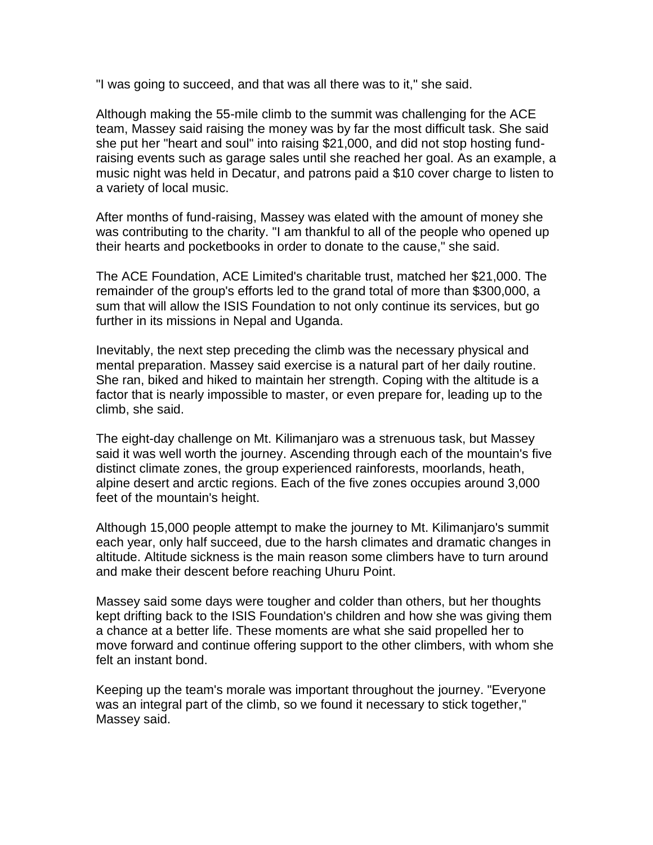"I was going to succeed, and that was all there was to it," she said.

Although making the 55-mile climb to the summit was challenging for the ACE team, Massey said raising the money was by far the most difficult task. She said she put her "heart and soul" into raising \$21,000, and did not stop hosting fundraising events such as garage sales until she reached her goal. As an example, a music night was held in Decatur, and patrons paid a \$10 cover charge to listen to a variety of local music.

After months of fund-raising, Massey was elated with the amount of money she was contributing to the charity. "I am thankful to all of the people who opened up their hearts and pocketbooks in order to donate to the cause," she said.

The ACE Foundation, ACE Limited's charitable trust, matched her \$21,000. The remainder of the group's efforts led to the grand total of more than \$300,000, a sum that will allow the ISIS Foundation to not only continue its services, but go further in its missions in Nepal and Uganda.

Inevitably, the next step preceding the climb was the necessary physical and mental preparation. Massey said exercise is a natural part of her daily routine. She ran, biked and hiked to maintain her strength. Coping with the altitude is a factor that is nearly impossible to master, or even prepare for, leading up to the climb, she said.

The eight-day challenge on Mt. Kilimanjaro was a strenuous task, but Massey said it was well worth the journey. Ascending through each of the mountain's five distinct climate zones, the group experienced rainforests, moorlands, heath, alpine desert and arctic regions. Each of the five zones occupies around 3,000 feet of the mountain's height.

Although 15,000 people attempt to make the journey to Mt. Kilimanjaro's summit each year, only half succeed, due to the harsh climates and dramatic changes in altitude. Altitude sickness is the main reason some climbers have to turn around and make their descent before reaching Uhuru Point.

Massey said some days were tougher and colder than others, but her thoughts kept drifting back to the ISIS Foundation's children and how she was giving them a chance at a better life. These moments are what she said propelled her to move forward and continue offering support to the other climbers, with whom she felt an instant bond.

Keeping up the team's morale was important throughout the journey. "Everyone was an integral part of the climb, so we found it necessary to stick together," Massey said.